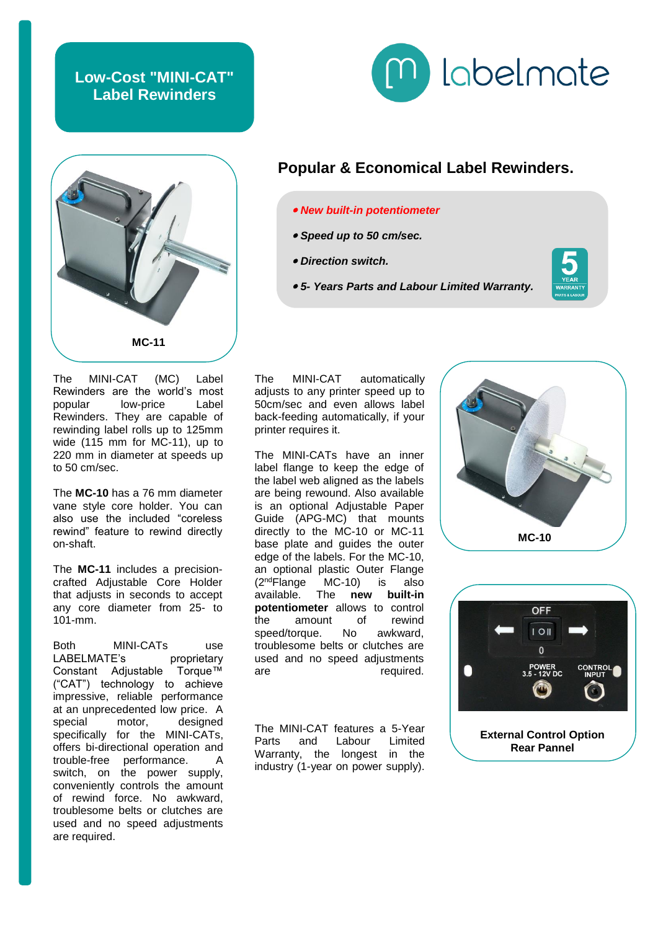## **Low-Cost "MINI-CAT" Label Rewinders**





The MINI-CAT (MC) Label Rewinders are the world's most<br>popular bow-price Label popular low-price Rewinders. They are capable of rewinding label rolls up to 125mm wide (115 mm for MC-11), up to 220 mm in diameter at speeds up to 50 cm/sec.

The **MC-10** has a 76 mm diameter vane style core holder. You can also use the included "coreless rewind" feature to rewind directly on-shaft.

The **MC-11** includes a precisioncrafted Adjustable Core Holder that adjusts in seconds to accept any core diameter from 25- to 101-mm.

Both MINI-CATs use LABELMATE's proprietary Constant Adjustable Torque™ ("CAT") technology to achieve impressive, reliable performance at an unprecedented low price. A special motor, designed specifically for the MINI-CATs, offers bi-directional operation and trouble-free performance. switch, on the power supply, conveniently controls the amount of rewind force. No awkward, troublesome belts or clutches are used and no speed adjustments are required.

## **Popular & Economical Label Rewinders.**

- *New built-in potentiometer*
- *Speed up to 50 cm/sec.*
- *Direction switch.*
- *5- Years Parts and Labour Limited Warranty.*



The MINI-CAT automatically adjusts to any printer speed up to 50cm/sec and even allows label back-feeding automatically, if your printer requires it.

The MINI-CATs have an inner label flange to keep the edge of the label web aligned as the labels are being rewound. Also available is an optional Adjustable Paper Guide (APG-MC) that mounts directly to the MC-10 or MC-11 base plate and guides the outer edge of the labels. For the MC-10, an optional plastic Outer Flange (2 ndFlange MC-10) is also (2<sup>nd</sup>Flange MC-10) is also<br>available. The **new built-in potentiometer** allows to control the amount of rewind speed/torque. No awkward. troublesome belts or clutches are used and no speed adjustments are required.

The MINI-CAT features a 5-Year Parts and Labour Limited Warranty, the longest in the industry (1-year on power supply).





**External Control Option Rear Pannel**